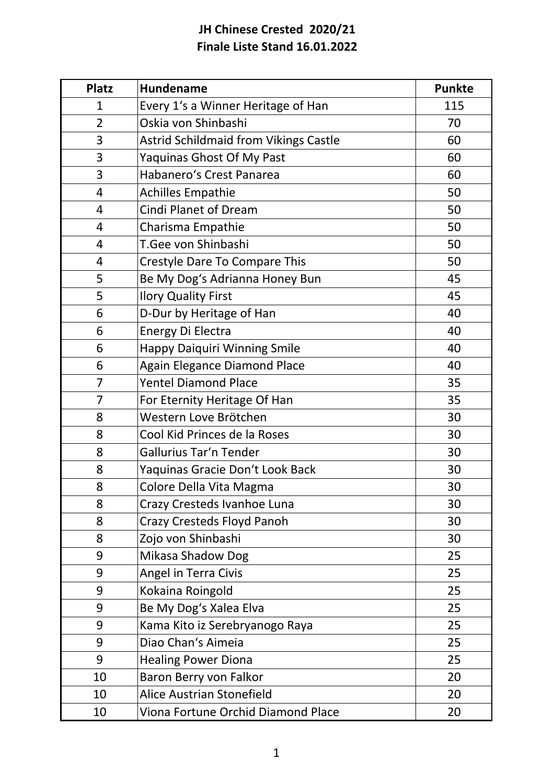## **JH Chinese Crested 2020/21 Finale Liste Stand 16.01.2022**

| <b>Platz</b>   | <b>Hundename</b>                      | <b>Punkte</b> |
|----------------|---------------------------------------|---------------|
| 1              | Every 1's a Winner Heritage of Han    | 115           |
| $\overline{2}$ | Oskia von Shinbashi                   | 70            |
| 3              | Astrid Schildmaid from Vikings Castle | 60            |
| 3              | Yaquinas Ghost Of My Past             | 60            |
| 3              | Habanero's Crest Panarea              | 60            |
| 4              | <b>Achilles Empathie</b>              | 50            |
| 4              | <b>Cindi Planet of Dream</b>          | 50            |
| 4              | Charisma Empathie                     | 50            |
| 4              | T.Gee von Shinbashi                   | 50            |
| 4              | Crestyle Dare To Compare This         | 50            |
| 5              | Be My Dog's Adrianna Honey Bun        | 45            |
| 5              | <b>Ilory Quality First</b>            | 45            |
| 6              | D-Dur by Heritage of Han              | 40            |
| 6              | Energy Di Electra                     | 40            |
| 6              | <b>Happy Daiquiri Winning Smile</b>   | 40            |
| 6              | <b>Again Elegance Diamond Place</b>   | 40            |
| $\overline{7}$ | <b>Yentel Diamond Place</b>           | 35            |
| 7              | For Eternity Heritage Of Han          | 35            |
| 8              | Western Love Brötchen                 | 30            |
| 8              | Cool Kid Princes de la Roses          | 30            |
| 8              | Gallurius Tar'n Tender                | 30            |
| 8              | Yaquinas Gracie Don't Look Back       | 30            |
| 8              | Colore Della Vita Magma               | 30            |
| 8              | Crazy Cresteds Ivanhoe Luna           | 30            |
| 8              | Crazy Cresteds Floyd Panoh            | 30            |
| 8              | Zojo von Shinbashi                    | 30            |
| 9              | Mikasa Shadow Dog                     | 25            |
| 9              | Angel in Terra Civis                  | 25            |
| 9              | Kokaina Roingold                      | 25            |
| 9              | Be My Dog's Xalea Elva                | 25            |
| 9              | Kama Kito iz Serebryanogo Raya        | 25            |
| 9              | Diao Chan's Aimeia                    | 25            |
| 9              | <b>Healing Power Diona</b>            | 25            |
| 10             | Baron Berry von Falkor                | 20            |
| 10             | <b>Alice Austrian Stonefield</b>      | 20            |
| 10             | Viona Fortune Orchid Diamond Place    | 20            |